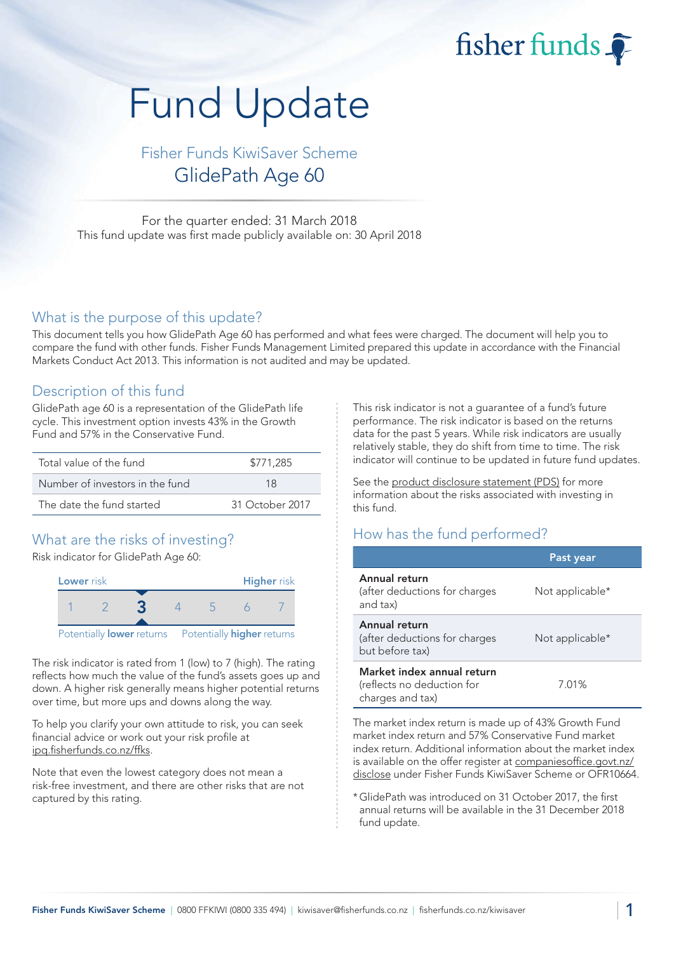fisher funds

# Fund Update

Fisher Funds KiwiSaver Scheme GlidePath Age 60

For the quarter ended: 31 March 2018 This fund update was first made publicly available on: 30 April 2018

#### What is the purpose of this update?

This document tells you how GlidePath Age 60 has performed and what fees were charged. The document will help you to compare the fund with other funds. Fisher Funds Management Limited prepared this update in accordance with the Financial Markets Conduct Act 2013. This information is not audited and may be updated.

### Description of this fund

GlidePath age 60 is a representation of the GlidePath life cycle. This investment option invests 43% in the Growth Fund and 57% in the Conservative Fund.

| Total value of the fund         | \$771,285       |  |  |
|---------------------------------|-----------------|--|--|
| Number of investors in the fund | 18              |  |  |
| The date the fund started       | 31 October 2017 |  |  |

## What are the risks of investing?

Risk indicator for GlidePath Age 60:



The risk indicator is rated from 1 (low) to 7 (high). The rating reflects how much the value of the fund's assets goes up and down. A higher risk generally means higher potential returns over time, but more ups and downs along the way.

To help you clarify your own attitude to risk, you can seek financial advice or work out your risk profile at [ipq.fisherfunds.co.nz/ffks.](https://ipq.fisherfunds.co.nz/ffks)

Note that even the lowest category does not mean a risk-free investment, and there are other risks that are not captured by this rating.

This risk indicator is not a guarantee of a fund's future performance. The risk indicator is based on the returns data for the past 5 years. While risk indicators are usually relatively stable, they do shift from time to time. The risk indicator will continue to be updated in future fund updates.

See the [product disclosure statement \(PDS\)](https://fisherfunds.co.nz/assets/PDS/Fisher-Funds-KiwiSaver-Scheme-PDS.pdf) for more information about the risks associated with investing in this fund.

## How has the fund performed?

|                                                                              | Past year       |
|------------------------------------------------------------------------------|-----------------|
| Annual return<br>(after deductions for charges<br>and tax)                   | Not applicable* |
| Annual return<br>(after deductions for charges<br>but before tax)            | Not applicable* |
| Market index annual return<br>(reflects no deduction for<br>charges and tax) | 7.01%           |

The market index return is made up of 43% Growth Fund market index return and 57% Conservative Fund market index return. Additional information about the market index is available on the offer register at [companiesoffice.govt.nz/](http://companiesoffice.govt.nz/disclose) [disclose](http://companiesoffice.govt.nz/disclose) under Fisher Funds KiwiSaver Scheme or OFR10664.

\*GlidePath was introduced on 31 October 2017, the first annual returns will be available in the 31 December 2018 fund update.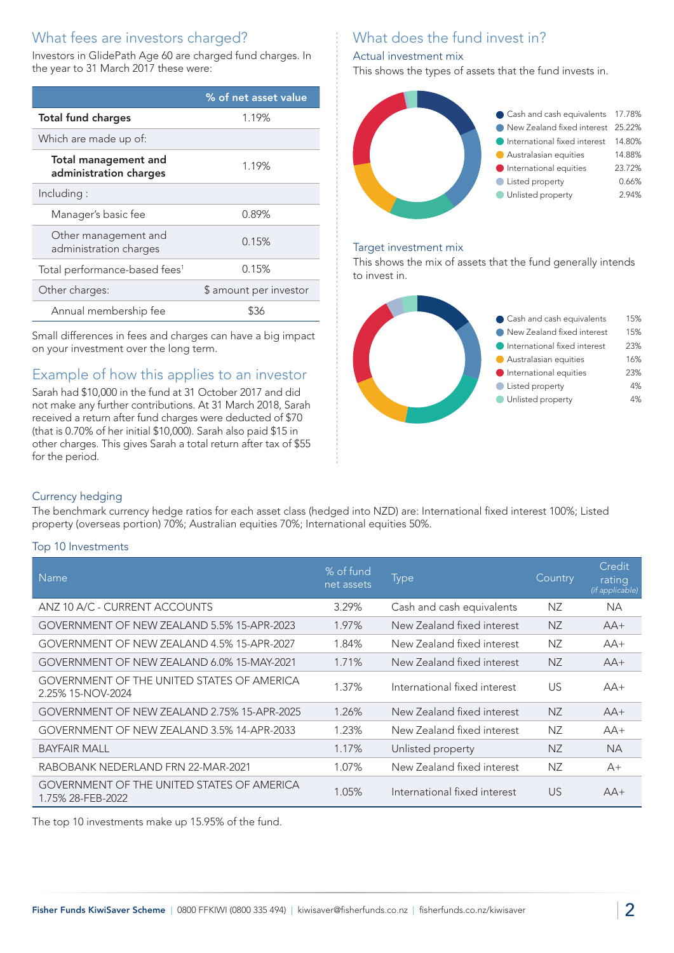## What fees are investors charged?

Investors in GlidePath Age 60 are charged fund charges. In the year to 31 March 2017 these were:

|                                                       | % of net asset value   |  |
|-------------------------------------------------------|------------------------|--|
| <b>Total fund charges</b>                             | 1.19%                  |  |
| Which are made up of:                                 |                        |  |
| <b>Total management and</b><br>administration charges | 1.19%                  |  |
| Including:                                            |                        |  |
| Manager's basic fee                                   | 0.89%                  |  |
| Other management and<br>administration charges        | 0.15%                  |  |
| Total performance-based fees <sup>1</sup>             | 0.15%                  |  |
| Other charges:                                        | \$ amount per investor |  |
| Annual membership fee                                 | \$36                   |  |

Small differences in fees and charges can have a big impact on your investment over the long term.

## Example of how this applies to an investor

Sarah had \$10,000 in the fund at 31 October 2017 and did not make any further contributions. At 31 March 2018, Sarah received a return after fund charges were deducted of \$70 (that is 0.70% of her initial \$10,000). Sarah also paid \$15 in other charges. This gives Sarah a total return after tax of \$55 for the period.

# What does the fund invest in?

#### Actual investment mix

This shows the types of assets that the fund invests in.



#### Target investment mix

This shows the mix of assets that the fund generally intends to invest in.



#### Currency hedging

The benchmark currency hedge ratios for each asset class (hedged into NZD) are: International fixed interest 100%; Listed property (overseas portion) 70%; Australian equities 70%; International equities 50%.

#### Top 10 Investments

| <b>Name</b>                                                            | % of fund<br>net assets | <b>Type</b>                  | Country   | Credit<br>rating<br>(if applicable) |
|------------------------------------------------------------------------|-------------------------|------------------------------|-----------|-------------------------------------|
| ANZ 10 A/C - CURRENT ACCOUNTS                                          | 3.29%                   | Cash and cash equivalents    | NZ.       | <b>NA</b>                           |
| GOVERNMENT OF NEW ZEALAND 5.5% 15-APR-2023                             | 1.97%                   | New Zealand fixed interest   | <b>NZ</b> | $AA+$                               |
| GOVERNMENT OF NEW ZEALAND 4.5% 15-APR-2027                             | 1.84%                   | New Zealand fixed interest   | NZ        | $AA+$                               |
| GOVERNMENT OF NEW ZEALAND 6.0% 15-MAY-2021                             | 1.71%                   | New Zealand fixed interest   | <b>NZ</b> | $AA+$                               |
| <b>GOVERNMENT OF THE UNITED STATES OF AMERICA</b><br>2.25% 15-NOV-2024 | 1.37%                   | International fixed interest | US        | $AA+$                               |
| GOVERNMENT OF NEW ZEALAND 2.75% 15-APR-2025                            | 1.26%                   | New Zealand fixed interest   | <b>NZ</b> | $AA+$                               |
| GOVERNMENT OF NEW ZEALAND 3.5% 14-APR-2033                             | 1.23%                   | New Zealand fixed interest   | NZ        | $AA+$                               |
| <b>BAYFAIR MALL</b>                                                    | 1.17%                   | Unlisted property            | ΝZ        | <b>NA</b>                           |
| RABOBANK NEDERLAND FRN 22-MAR-2021                                     | 1.07%                   | New Zealand fixed interest   | NZ        | $A+$                                |
| <b>GOVERNMENT OF THE UNITED STATES OF AMERICA</b><br>1.75% 28-FEB-2022 | 1.05%                   | International fixed interest | US        | $AA+$                               |

The top 10 investments make up 15.95% of the fund.